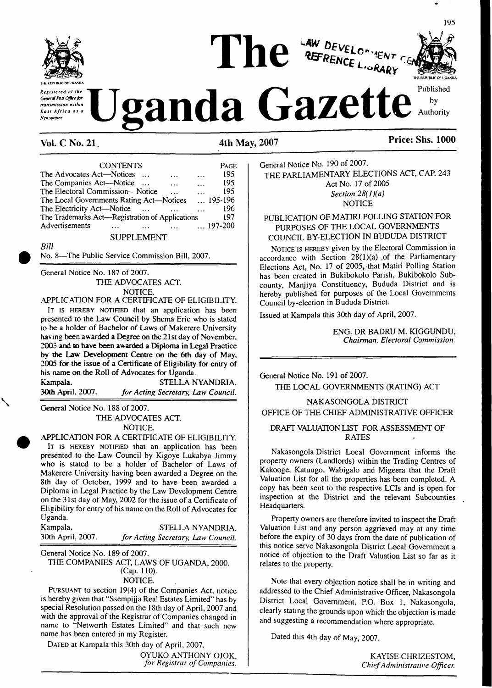

*Registered at the General Post Office for transmission within East Africa as a Newspaper*





195

# **Vol. C No. 21 4th May, 2007 Price: Shs. 1000**

CONTENTS Page The Advocates Act—Notices ... ... ... 195 The Companies Act—Notice ... ... ... 195 The Electoral Commission—Notice ... ... 195<br>The Local Governments Rating Act—Notices ... 195-196 The Local Governments Rating Act—Notices ... 195-196<br>The Electricity Act—Notice ... ... ... 196 The Electricity Act—Notice ... ... ... ... 196<br>The Trademarks Act—Registration of Applications 197 The Trademarks Act—Registration of Applications 197<br>Advertisements ... ... ... ... ... ... 197-200 Advertisements ... ... ... ... SUPPLEMENT

*Bill*

No. 8—The Public Service Commission Bill, 2007.

General Notice No. 187 of 2007. THE ADVOCATES ACT. NOTICE.

APPLICATION FOR A CERTIFICATE OF ELIGIBILITY.

It is HEREBY NOTIFIED that an application has been presented to the Law Council by Shema Eric who is stated to be a holder of Bachelor of Laws of Makerere University having been awarded a Degree on the 21st day of November, 2003 and to have been awarded a Diploma in Legal Practice by the Law Development Centre on the 6th day of May, 2005 for the issue of a Certificate of Eligibility for entry of his name on the Roll of Advocates for Uganda.

Kampala, STELLA NYANDRIA,<br>30th April, 2007. for Acting Secretary, Law Council. **30th** April, 2007. *for Acting Secretary, Law Council.*

General Notice No. 188 of 2007.

THE ADVOCATES ACT. NOTICE.

APPLICATION FOR A CERTIFICATE OF ELIGIBILITY.

IT IS HEREBY NOTIFIED that an application has been presented to the Law Council by Kigoye Lukabya Jimmy who is stated to be a holder of Bachelor of Laws of Makerere University having been awarded a Degree on the 8th day of October, 1999 and to have been awarded a Diploma in Legal Practice by the Law Development Centre on the 31st day of May, 2002 for the issue of a Certificate of Eligibility for entry of his name on the Roll of Advocates for Uganda.

Kampala, STELLA NYANDRIA, 30th April, 2007. *for Acting Secretary, Law Council.* 30th April, 2007. *for Acting Secretary, Law Council.*

General Notice No. 189 of 2007.

THE COMPANIES ACT, LAWS OF UGANDA, 2000. (Cap. 110).

NOTICE.

Pursuant to section 19(4) of the Companies Act, notice is hereby given that "Ssempijja Real Estates Limited" has by special Resolution passed on the 18th day of April, 2007 and with the approval of the Registrar of Companies changed in name to "Networth Estates Limited" and that such new name has been entered in my Register.

DATED at Kampala this 30th day of April, 2007. OYUKO ANTHONY OJOK, *for Registrar ofCompanies.*

General Notice No. 190 of 2007. THE PARLIAMENTARY ELECTIONS ACT, CAP. 243 Act No. 17 of 2005 *Section 28(l)(a)* **NOTICE** 

PUBLICATION OF MATIRI POLLING STATION FOR PURPOSES OF THE LOCAL GOVERNMENTS COUNCIL BY-ELECTION IN BUDUDA DISTRICT

NOTICE IS HEREBY given by the Electoral Commission in accordance with Section  $28(1)(a)$  of the Parliamentary Elections Act, No. 17 of 2005,-that Matiri Polling Station has been created in Bukibokolo Parish, Bukibokolo Subcounty, Manjiya Constituency, Bududa District and is hereby published for purposes of the Local Governments Council by-election in Bududa District.

Issued at Kampala this 30th day of April, 2007.

ENG. DR BADRU M. KIGGUNDU, *Chairman, Electoral Commission.*

General Notice No. 191 of 2007.

THE LOCAL GOVERNMENTS (RATING) ACT

NAKASONGOLA DISTRICT OFFICE OF THE CHIEF ADMINISTRATIVE OFFICER

# DRAFT VALUATION LIST FOR ASSESSMENT OF RATES

Nakasongola District Local Government informs the property owners (Landlords) within the Trading Centres of Kakooge, Katuugo, Wabigalo and Migeera that the Draft Valuation List for all the properties has been completed. A copy has been sent to the respective LCIs and is open for inspection at the District and the relevant Subcounties Headquarters.

Property owners are therefore invited to inspect the Draft Valuation List and any person aggrieved may at any time before the expiry of 30 days from the date of publication of this notice serve Nakasongola District Local Government a notice of objection to the Draft Valuation List so far as it relates to the property.

Note that every objection notice shall be in writing and addressed to the Chief Administrative Officer, Nakasongola District Local Government, P.O. Box 1, Nakasongola, clearly stating the grounds upon which the objection is made and suggesting a recommendation where appropriate.

Dated this 4th day of May, 2007.

KAYISE CHRIZESTOM, *ChiefAdministrative Officer.*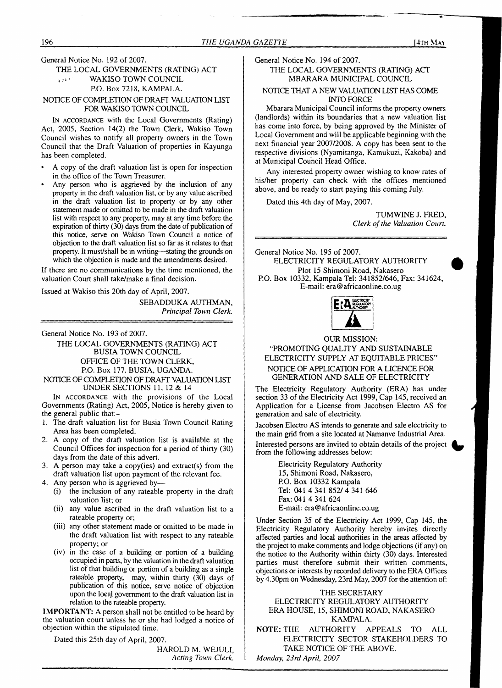# General Notice No. 192 of 2007.

# THE LOCAL GOVERNMENTS (RATING) ACT<br>
WAKISO TOWN COUNCIL WAKISO TOWN COUNCIL P.O. Box 7218, KAMPALA.

# NOTICE OF COMPLETION OF DRAFT VALUATION LIST FOR WAKISO TOWN COUNCIL

I<sup>n</sup> accordance with the Local Governments (Rating) Act, 2005, Section 14(2) the Town Clerk, Wakiso Town Council wishes to notify all property owners in the Town Council that the Draft Valuation of properties in Kayunga has been completed.

- A copy of the draft valuation list is open for inspection in the office of the Town Treasurer.
- Any person who is aggrieved by the inclusion of any property in the draft valuation list, or by any value ascribed in the draft valuation list to property or by any other statement made or omitted to be made in the draft valuation list with respect to any property, may at any time before the expiration of thirty  $(30)$  days from the date of publication of this notice, serve on Wakiso Town Council a notice of objection to the draft valuation list so far as it relates to that property. It must/shall be in writing—stating the grounds on which the objection is made and the amendments desired.

If there are no communications by the time mentioned, the valuation Court shall take/make a final decision.

Issued at Wakiso this 20th day of April, 2007.

SEBADDUKA AUTHMAN, *Principal Town Clerk.*

General Notice No. 193 of 2007.

THE LOCAL GOVERNMENTS (RATING) ACT BUSIA TOWN COUNCIL OFFICE OF THE TOWN CLERK, P.O. Box 177, BUSIA, UGANDA.

NOTICE OF COMPLETION OF DRAFT VALUATION LIST UNDER SECTIONS 11, 12 & 14

I<sup>n</sup> accordance with the provisions of the Local Governments (Rating) Act, 2005, Notice is hereby given to the general public that:-

- 1. The draft valuation list for Busia Town Council Rating Area has been completed.
- 2. A copy of the draft valuation list is available at the Council Offices for inspection for a period of thirty (30) days from the date of this advert.
- 3. A person may take a copy(ies) and extract(s) from the draft valuation list upon payment of the relevant fee.
- 4. Any person who is aggrieved by—
	- (i) the inclusion of any rateable property in the draft valuation list; or
	- (ii) any value ascribed in the draft valuation list to a rateable property or;
	- (iii) any other statement made or omitted to be made in the draft valuation list with respect to any rateable property; or
	- (iv) in the case of a building or portion of a building occupied in parts, by the valuation in the draft valuation list of that building or portion of a building as a single rateable property, may, within thirty (30) days of publication of this notice, serve notice of objection upon the local government to the draft valuation list in relation to the rateable property.

**IMPORTANT:** A person shall not be entitled to be heard by the valuation court unless he or she had lodged a notice of objection within the stipulated time.

Dated this 25th day of April, 2007.

HAROLD M. WEJULI, *Acting Town Clerk.* General Notice No. 194 of 2007.

# THE LOCAL GOVERNMENTS (RATING) ACT MBARARA MUNICIPAL COUNCIL

# NOTICE THAT A NEW VALUATION LIST HAS COME INTO FORCE

Mbarara Municipal Council informs the property owners (landlords) within its boundaries that a new valuation list has come into force, by being approved by the Minister of Local Government and will be applicable beginning with the next financial year 2007/2008. A copy has been sent to the respective divisions (Nyamitanga, Kamukuzi, Kakoba) and at Municipal Council Head Office.

Any interested property owner wishing to know rates of his/her property can check with the offices mentioned above, and be ready to start paying this coming July.

Dated this 4th day of May, 2007.

TUMWINE J. FRED, *Clerk ofthe Valuation Court.*

General Notice No. 195 of 2007. ELECTRICITY REGULATORY AUTHORITY Plot 15 Shimoni Road, Nakasero P.O. Box 10332, Kampala Tel: 341852/646, Fax: 341624, E-mail: [era@africaonline.co.ug](mailto:era@africaonline.co.ug)



# OUR MISSION:

# "PROMOTING QUALITY AND SUSTAINABLE ELECTRICITY SUPPLY AT EQUITABLE PRICES" NOTICE OF APPLICATION FOR A LICENCE FOR GENERATION AND SALE OF ELECTRICITY

The Electricity Regulatory Authority (ERA) has under section 33 of the Electricity Act 1999, Cap 145, received an Application for a License from Jacobsen Electro AS for generation and sale of electricity.

Jacobsen Electro AS intends to generate and sale electricity to the main grid from a site located at Namanve Industrial Area. Interested persons are invited to obtain details of the project from the following addresses below:

> Electricity Regulatory Authority 15, Shimoni Road, Nakasero, P.O. Box 10332 Kampala Tel: 041 4 341 852/4 341 646 Fax: 041 4 341 624 E-mail: [era@africaonline.co.ug](mailto:era@africaonline.co.ug)

Under Section 35 of the Electricity Act 1999, Cap 145, the Electricity Regulatory Authority hereby invites directly affected parties and local authorities in the areas affected by the project to make comments and lodge objections (if any) on the notice to the Authority within thirty (30) days. Interested parties must therefore submit their written comments, objections or interests by recorded delivery to the ERA Offices by 4.30pm on Wednesday, 23rd May, 2007 for the attention of:

# THE SECRETARY ELECTRICITY REGULATORY AUTHORITY ERA HOUSE, 15, SHIMONI ROAD, NAKASERO KAMPALA.

**NOTE:** THE AUTHORITY APPEALS TO ALL ELECTRICITY SECTOR STAKEHOLDERS TO TAKE NOTICE OF THE ABOVE. *Monday, 23rd April, 2007*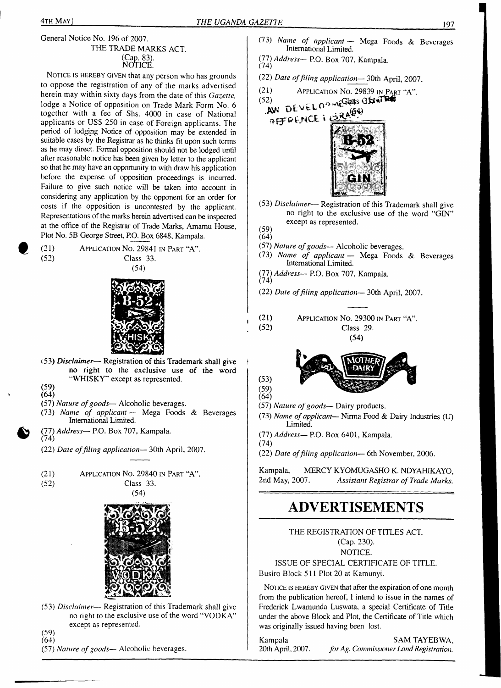# THE TRADE MARKS ACT.<br>(Cap. 83). NOTICE.

NOTICE IS HEREBY GIVEN that any person who has grounds to oppose the registration of any of the marks advertised herein may within sixty days from the date of this *Gazette,* lodge a Notice of opposition on Trade Mark Form No. 6 together with a fee of Shs. 4000 in case of National applicants or US\$ 250 in case of Foreign applicants. The period of lodging Notice of opposition may be extended in suitable cases by the Registrar as he thinks fit upon such terms as he may direct. Formal opposition should not be lodged until after reasonable notice has been given by letter to the applicant so that he may have an opportunity to with draw his application before the expense of opposition proceedings is incurred. Failure to give such notice will be taken into account in considering any application by the opponent for an order for costs if the opposition is uncontested by the applicant. Representations of the marks herein advertised can be inspected at the office of the Registrar of Trade Marks, Amamu House, Plot No. 5B George Street, P.O. Box 6848, Kampala.

(21) Application No. 29841 in Part "A". (52) Class 33. (54)



- 153) *Disclaimer* Registration of this Trademark shall give <sup>i</sup> no right to the exclusive use of the word "WHISKY" except as represented.
- (59)
- $(64)$
- (57) *Nature ofgoods—* Alcoholic beverages.
- (73) *Name of applicant —* Mega Foods & Beverages International Limited.
- (77) *Address—* P.O. Box 707, Kampala. (74)
- (22) *Date offiling application—* 30th April, 2007.
- (21) Application No. 29840 in Part "A".
- 

(52) Class 33. (54)



- (53) *Disclaimer* Registration of this Trademark shall give no right to the exclusive use of the word "VODKA" except as represented.
- (59)  $(64)$
- (57) *Nature ofgoods—* Alcoholic beverages.
- (73) *Name of applicant —* Mega Foods & Beverages International Limited.
- (77) *Address—* P.O. Box 707, Kampala.
- (22) *Date offiling application—* 30th April, 2007.
- (21) Application No. 29839 in Part "A".
- $(52)$  .  $(52)$ **XV»'**





- (53) *Disclaimer* Registration of this Trademark shall give no right to the exclusive use of the word "GIN" except as represented.
- (59)  $(64)$

 $(53)$  $(59)$  $(64)$ 

- (57) *Nature ofgoods—* Alcoholic beverages.
- (73) *Name of applicant —* Mega Foods & Beverages International Limited.
- (77) *Address—* P.O. Box 707, Kampala. (74)
- (22) *Date offiling application—* 30th April, 2007.
	-

(21) Application No. 29300 in Part "A". (52) Class 29. (54)



- (57) Nature of goods— Dairy products.
- (73) *Name ofapplicant* Nirma Food & Dairy Industries (U) Limited.
- (77) *Address—* P.O. Box 6401, Kampala.
- (74) (22) *Date offiling application—* 6th November, 2006.

Kampala, MERCY KYOMUGASHO K. NDYAHIKAYO, 2nd May, 2007. *Assistant Registrar of Trade Marks.*

# **ADVERTISEMENTS**

THE REGISTRATION OF TITLES ACT. (Cap. 230). NOTICE. ISSUE OF SPECIAL CERTIFICATE OF TITLE.

Busiro Block 511 Plot 20 at Kamunyi.

NOTICE IS HEREBY GIVEN that after the expiration of one month from the publication hereof, <sup>1</sup> intend to issue in the names of Frederick Lwamunda Luswata, a special Certificate of Title under the above Block and Plot, the Certificate of Title which was originally issued having been lost.

Kampala SAM TAYEBWA, 20th April, 2007. *forAg. Commissionerland Registration.*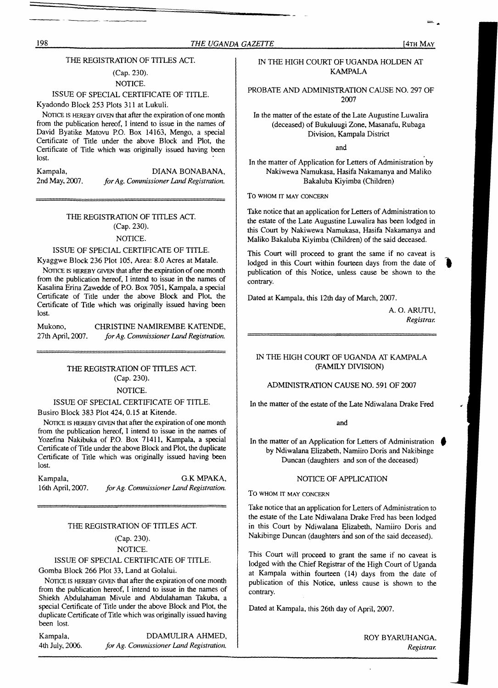# THE REGISTRATION OF TITLES ACT.

# (Cap. 230). NOTICE.

# ISSUE OF SPECIAL CERTIFICATE OF TITLE.

Kyadondo Block 253 Plots 311 at Lukuli.

NOTICE IS HEREBY GIVEN that after the expiration of one month from the publication hereof, I intend to issue in the names of David Byatike Matovu P.O. Box 14163, Mengo, a special Certificate of Title under the above Block and Plot, the Certificate of Title which was originally issued having been lost.

Kampala, DIANA BONABANA, 2nd May, 2007. *forAg. Commissioner Land Registration.*

# THE REGISTRATION OF TITLES ACT. (Cap. 230).

# NOTICE.

# ISSUE OF SPECIAL CERTIFICATE OF TITLE.

Kyaggwe Block 236 Plot 105, Area: 8.0 Acres at Matale.

NOTICE IS HEREBY GIVEN that after the expiration of one month from the publication hereof, I intend to issue in the names of Kasalina Erina Zawedde of P.O. Box 7051, Kampala, a special Certificate of Title under the above Block and Plot, the Certificate of Title which was originally issued having been lost.

Mukono, CHRISTINE NAMIREMBE KATENDE, 27th April, 2007. *forAg. Commissioner Land Registration.*

# THE REGISTRATION OF TITLES ACT. (Cap. 230).

# NOTICE.

# ISSUE OF SPECIAL CERTIFICATE OF TITLE.

Busiro Block 383 Plot 424, 0.15 at Kitende.

NOTICE IS HEREBY GIVEN that after the expiration of one month from the publication hereof, I intend to issue in the names of Yozefina Nakibuka of P.O. Box 71411, Kampala, a special Certificate of Title under the above Block and Plot, the duplicate Certificate of Title which was originally issued having been lost.

Kampala, G.K MPAKA, 16th April, 2007. *forAg. Commissioner Land Registration.*

# THE REGISTRATION OF TITLES ACT.

### (Cap. 230).

# NOTICE.

# ISSUE OF SPECIAL CERTIFICATE OF TITLE.

# Gomba Block 266 Plot 33, Land at Golalui.

NOTICE IS HEREBY GIVEN that after the expiration of one month from the publication hereof, I intend to issue in the names of Shiekh Abdulahaman Mivule and Abdulahaman Takuba, a special Certificate of Title under the above Block and Plot, the duplicate Certificate of Title which was originally issued having been lost.

Kampala, DDAMULIRA AHMED, 4th July, 2006. *forAg. Commissioner Land Registration.*

# IN THE HIGH COURT OF UGANDA HOLDEN AT KAMPALA

PROBATE AND ADMINISTRATION CAUSE NO. 297 OF 2007

In the matter of the estate of the Late Augustine Luwalira (deceased) of Bukuluugi Zone, Masanafu, Rubaga Division, Kampala District

and

In the matter of Application for Letters of Administration by Nakiwewa Namukasa, Hasifa Nakamanya and Maliko Bakaluba Kiyimba (Children)

To whom it may concern

Take notice that an application for Letters of Administration to the estate of the Late Augustine Luwalira has been lodged in this Court by Nakiwewa Namukasa, Hasifa Nakamanya and Maliko Bakaluba Kiyimba (Children) of the said deceased.

This Court will proceed to grant the same if no caveat is lodged in this Court within fourteen days from the date of publication of this Notice, unless cause be shown to the contrary.

Dated at Kampala, this 12th day of March, 2007.

A. O. ARUTU, *Registrar.*

# IN THE HIGH COURT OF UGANDA AT KAMPALA (FAMILY DIVISION)

# ADMINISTRATION CAUSE NO. 591 OF 2007

In the matter of the estate of the Late Ndiwalana Drake Fred

and

In the matter of an Application for Letters of Administration by Ndiwalana Elizabeth, Namiiro Doris and Nakibinge Duncan (daughters and son of the deceased)

# NOTICE OF APPLICATION

# TO **WHOM IT MAY CONCERN**

Take notice that an application for Letters of Administration to the estate of the Late Ndiwalana Drake Fred has been lodged in this Court by Ndiwalana Elizabeth, Namiiro Doris and Nakibinge Duncan (daughters and son of the said deceased).

This Court will proceed to grant the same if no caveat is lodged with the Chief Registrar of the High Court of Uganda at Kampala within fourteen (14) days from the date of publication of this Notice, unless cause is shown to the contrary.

Dated at Kampala, this 26th day of April, 2007.

ROY BYARUHANGA. *Registrar.*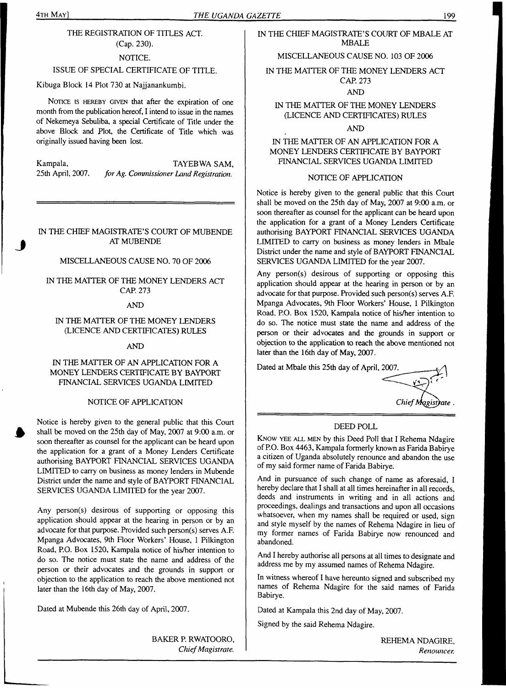# THE REGISTRATION OF TITLES ACT. (Cap. 230).

# NOTICE.

# ISSUE OF SPECIAL CERTIFICATE OF TITLE.

Kibuga Block 14 Plot 730 at Najjanankumbi.

NOTICE IS HEREBY GIVEN that after the expiration of one month from the publication hereof, I intend to issue in the names of Nekemeya Sebuliba, a special Certificate of Title under the above Block and Plot, the Certificate of Title which was originally issued having been lost.

Kampala, TAYEBWA SAM, TAYEBWA SAM, 25th April, 2007. for Ag. Commissioner Land Registration. 25th April, *2QD1. forAg. Commissioner Land Registration.*

# IN THE CHIEF MAGISTRATE'S COURT OF MUBENDE AT MUBENDE

# MISCELLANEOUS CAUSE NO. 70 OF 2006

IN THE MATTER OF THE MONEY LENDERS ACT CAP. 273

## AND

# IN THE MATTER OF THE MONEY LENDERS (LICENCE AND CERTIFICATES) RULES

AND

# IN THE MATTER OF AN APPLICATION FOR A MONEY LENDERS CERTIFICATE BY BAYPORT FINANCIAL SERVICES UGANDA LIMITED

# NOTICE OF APPLICATION

Notice is hereby given to the general public that this Court shall be moved on the 25th day of May, 2007 at 9:00 a.m. or soon thereafter as counsel for the applicant can be heard upon the application for a grant of a Money Lenders Certificate authorising BAYPORT FINANCIAL SERVICES UGANDA LIMITED to carry on business as money lenders in Mubende District under the name and style of BAYPORT FINANCIAL SERVICES UGANDA LIMITED for the year 2007.

Any person(s) desirous of supporting or opposing this application should appear at the hearing in person or by an advocate for that purpose. Provided such person(s) serves A.F. Mpanga Advocates, 9th Floor Workers' House, <sup>1</sup> Pilkington Road, P.O. Box 1520, Kampala notice of his/her intention to do so. The notice must state the name and address of the person or their advocates and the grounds in support or objection to the application to reach the above mentioned not later than the 16th day of May, 2007.

Dated at Mubende this 26th day of April, 2007.

BAKER P. RWATOORO,

*ChiefMagistrate.*

# IN THE CHIEF MAGISTRATE'S COURT OF MBALE AT MBALE

# MISCELLANEOUS CAUSE NO. 103 OF 2006

IN THE MATTER OF THE MONEY LENDERS ACT CAP. 273

# AND

# IN THE MATTER OF THE MONEY LENDERS (LICENCE AND CERTIFICATES) RULES

AND

# IN THE MATTER OF AN APPLICATION FOR A MONEY LENDERS CERTIFICATE BY BAYPORT FINANCIAL SERVICES UGANDA LIMITED

# NOTICE OF APPLICATION

Notice is hereby given to the general public that this Court shall be moved on the 25th day of May, 2007 at 9:00 a.m. or soon thereafter as counsel for the applicant can be heard upon the application for a grant of a Money Lenders Certificate authorising BAYPORT FINANCIAL SERVICES UGANDA LIMITED to carry on business as money lenders in Mbale District under the name and style of BAYPORT FINANCIAL SERVICES UGANDA LIMITED for the year 2007.

Any person(s) desirous of supporting or opposing this application should appear at the hearing in person or by an advocate for that purpose. Provided such person(s) serves A.F. Mpanga Advocates, 9th Floor Workers' House, <sup>1</sup> Pilkington Road, P.O. Box 1520, Kampala notice of his/her intention to do so. The notice must state the name and address of the person or their advocates and the grounds in support or objection to the application to reach the above mentioned not later than the 16th day of May, 2007.

Dated at Mbale this 25th day of April, 2007.

*ChiefMqgisyate .*

# DEED POLL

KNOW YEE ALL MEN by this Deed Poll that I Rehema Ndagire ofP.O. Box 4463, Kampala formerly known as Farida Babirye a citizen of Uganda absolutely renounce and abandon the use of my said former name of Farida Babirye.

And in pursuance of such change of name as aforesaid, I hereby declare that I shall at all times hereinafter in all records, deeds and instruments in writing and in all actions and proceedings, dealings and transactions and upon all occasions whatsoever, when my names shall be required or used, sign and style myself by the names of Rehema Ndagire in lieu of my former names of Farida Babirye now renounced and abandoned.

And I hereby authorise all persons at all times to designate and address me by my assumed names of Rehema Ndagire.

In witness whereof I have hereunto signed and subscribed my names of Rehema Ndagire for the said names of Farida Babirye.

Dated at Kampala this 2nd day of May, 2007.

Signed by the said Rehema Ndagire.

REHEMA NDAGIRE, *Renounces*